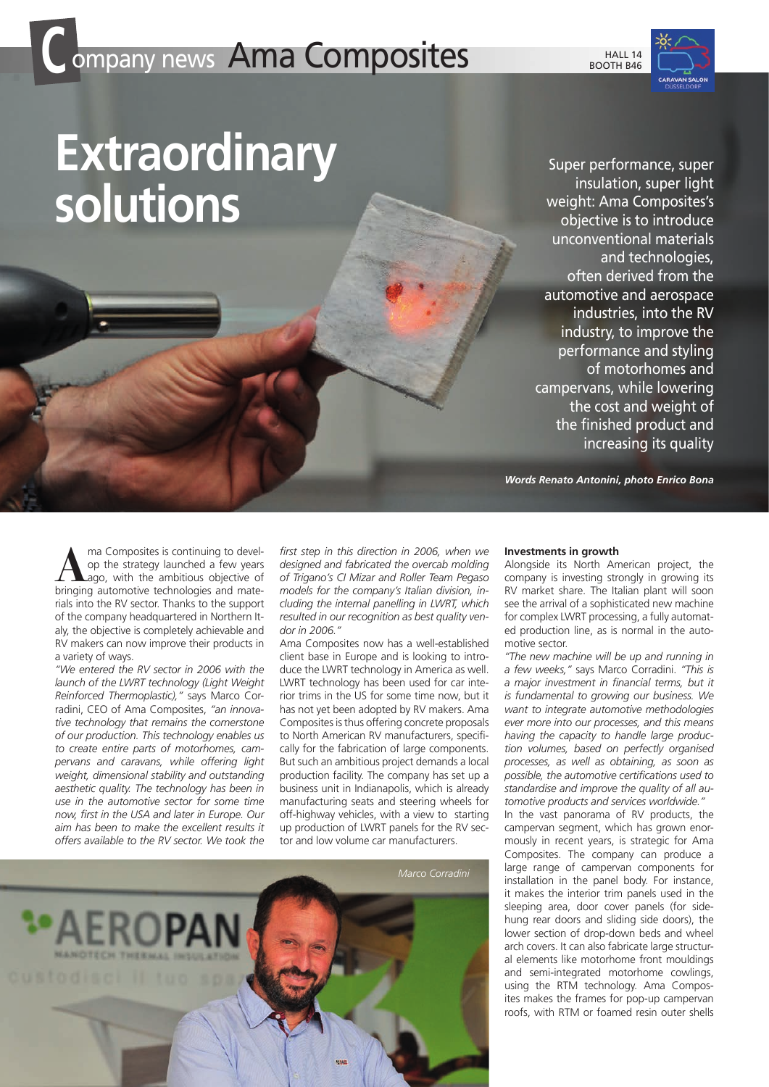## **Company news Ama Composites**





## **Extraordinary solutions**

Super performance, super insulation, super light weight: Ama Composites's objective is to introduce unconventional materials and technologies, often derived from the automotive and aerospace industries, into the RV industry, to improve the performance and styling of motorhomes and campervans, while lowering the cost and weight of the finished product and increasing its quality

*Words Renato Antonini, photo Enrico Bona*

**A** ma Composites is continuing to develop the strategy launched a few years<br>ago, with the ambitious objective of<br>bringing automotive technologies and mateop the strategy launched a few years ago, with the ambitious objective of bringing automotive technologies and materials into the RV sector. Thanks to the support of the company headquartered in Northern Italy, the objective is completely achievable and RV makers can now improve their products in a variety of ways.

*"We entered the RV sector in 2006 with the launch of the LWRT technology (Light Weight Reinforced Thermoplastic),"* says Marco Corradini, CEO of Ama Composites, *"an innovative technology that remains the cornerstone of our production. This technology enables us to create entire parts of motorhomes, campervans and caravans, while offering light weight, dimensional stability and outstanding aesthetic quality. The technology has been in use in the automotive sector for some time now, first in the USA and later in Europe. Our aim has been to make the excellent results it offers available to the RV sector. We took the* 

*first step in this direction in 2006, when we designed and fabricated the overcab molding of Trigano's CI Mizar and Roller Team Pegaso models for the company's Italian division, including the internal panelling in LWRT, which resulted in our recognition as best quality vendor in 2006."* 

Ama Composites now has a well-established client base in Europe and is looking to introduce the LWRT technology in America as well. LWRT technology has been used for car interior trims in the US for some time now, but it has not yet been adopted by RV makers. Ama Composites is thus offering concrete proposals to North American RV manufacturers, specifically for the fabrication of large components. But such an ambitious project demands a local production facility. The company has set up a business unit in Indianapolis, which is already manufacturing seats and steering wheels for off-highway vehicles, with a view to starting up production of LWRT panels for the RV sector and low volume car manufacturers.



## **Investments in growth**

Alongside its North American project, the company is investing strongly in growing its RV market share. The Italian plant will soon see the arrival of a sophisticated new machine for complex LWRT processing, a fully automated production line, as is normal in the automotive sector.

*"The new machine will be up and running in a few weeks,"* says Marco Corradini. *"This is a major investment in financial terms, but it is fundamental to growing our business. We want to integrate automotive methodologies ever more into our processes, and this means having the capacity to handle large production volumes, based on perfectly organised processes, as well as obtaining, as soon as possible, the automotive certifications used to standardise and improve the quality of all automotive products and services worldwide."*

In the vast panorama of RV products, the campervan segment, which has grown enormously in recent years, is strategic for Ama Composites. The company can produce a large range of campervan components for installation in the panel body. For instance, it makes the interior trim panels used in the sleeping area, door cover panels (for sidehung rear doors and sliding side doors), the lower section of drop-down beds and wheel arch covers. It can also fabricate large structural elements like motorhome front mouldings and semi-integrated motorhome cowlings, using the RTM technology. Ama Composites makes the frames for pop-up campervan roofs, with RTM or foamed resin outer shells